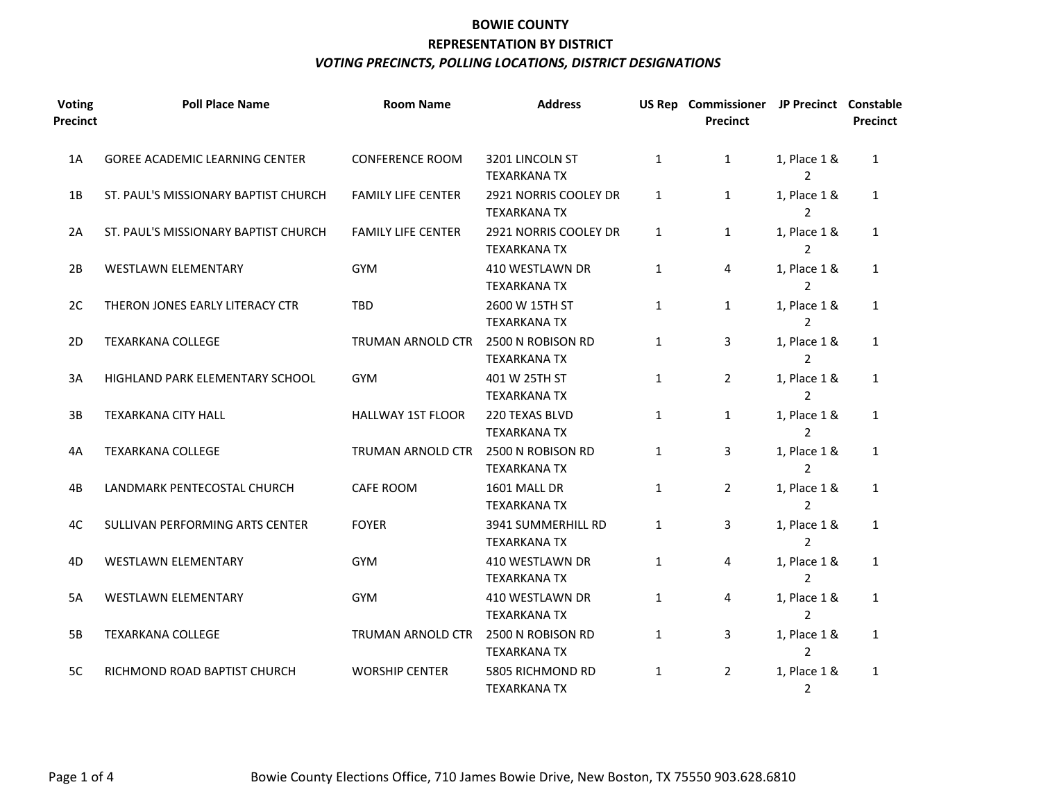| <b>Voting</b><br><b>Precinct</b> | <b>Poll Place Name</b>                | <b>Room Name</b>          | <b>Address</b>                               |              | US Rep Commissioner JP Precinct Constable<br><b>Precinct</b> |                                | <b>Precinct</b> |
|----------------------------------|---------------------------------------|---------------------------|----------------------------------------------|--------------|--------------------------------------------------------------|--------------------------------|-----------------|
| 1A                               | <b>GOREE ACADEMIC LEARNING CENTER</b> | <b>CONFERENCE ROOM</b>    | 3201 LINCOLN ST<br><b>TEXARKANA TX</b>       | $\mathbf{1}$ | $\mathbf{1}$                                                 | 1, Place 1 &<br>$\overline{2}$ | $\mathbf{1}$    |
| 1B                               | ST. PAUL'S MISSIONARY BAPTIST CHURCH  | <b>FAMILY LIFE CENTER</b> | 2921 NORRIS COOLEY DR<br><b>TEXARKANA TX</b> | $\mathbf{1}$ | $\mathbf{1}$                                                 | 1, Place 1 &<br>$\overline{2}$ | $\mathbf{1}$    |
| 2A                               | ST. PAUL'S MISSIONARY BAPTIST CHURCH  | <b>FAMILY LIFE CENTER</b> | 2921 NORRIS COOLEY DR<br><b>TEXARKANA TX</b> | 1            | $\mathbf{1}$                                                 | 1, Place 1 &<br>$\mathcal{P}$  | $\mathbf{1}$    |
| 2B                               | <b>WESTLAWN ELEMENTARY</b>            | GYM                       | 410 WESTLAWN DR<br><b>TEXARKANA TX</b>       | $\mathbf{1}$ | 4                                                            | 1, Place 1 &<br>$\overline{2}$ | $\mathbf{1}$    |
| 2C                               | THERON JONES EARLY LITERACY CTR       | <b>TBD</b>                | 2600 W 15TH ST<br><b>TEXARKANA TX</b>        | $\mathbf{1}$ | $\mathbf{1}$                                                 | 1, Place 1 &<br>$\overline{2}$ | $\mathbf{1}$    |
| 2D                               | <b>TEXARKANA COLLEGE</b>              | <b>TRUMAN ARNOLD CTR</b>  | 2500 N ROBISON RD<br><b>TEXARKANA TX</b>     | $\mathbf{1}$ | 3                                                            | 1, Place 1 &<br>$\overline{2}$ | $\mathbf{1}$    |
| 3A                               | HIGHLAND PARK ELEMENTARY SCHOOL       | <b>GYM</b>                | 401 W 25TH ST<br><b>TEXARKANA TX</b>         | $\mathbf{1}$ | $\overline{2}$                                               | 1, Place 1 &<br>$\overline{2}$ | $\mathbf{1}$    |
| 3B                               | <b>TEXARKANA CITY HALL</b>            | <b>HALLWAY 1ST FLOOR</b>  | 220 TEXAS BLVD<br><b>TEXARKANA TX</b>        | $\mathbf{1}$ | $\mathbf{1}$                                                 | 1, Place 1 &<br>$\overline{2}$ | $\mathbf{1}$    |
| 4A                               | <b>TEXARKANA COLLEGE</b>              | TRUMAN ARNOLD CTR         | 2500 N ROBISON RD<br><b>TEXARKANA TX</b>     | $\mathbf{1}$ | 3                                                            | 1, Place 1 &<br>2              | $\mathbf{1}$    |
| 4B                               | LANDMARK PENTECOSTAL CHURCH           | CAFE ROOM                 | 1601 MALL DR<br><b>TEXARKANA TX</b>          | $\mathbf{1}$ | $\overline{2}$                                               | 1, Place 1 &<br>$\mathcal{P}$  | $\mathbf{1}$    |
| 4C                               | SULLIVAN PERFORMING ARTS CENTER       | <b>FOYER</b>              | 3941 SUMMERHILL RD<br><b>TEXARKANA TX</b>    | $\mathbf{1}$ | 3                                                            | 1, Place 1 &<br>$\overline{2}$ | 1               |
| 4D                               | WESTLAWN ELEMENTARY                   | <b>GYM</b>                | 410 WESTLAWN DR<br><b>TEXARKANA TX</b>       | $\mathbf{1}$ | 4                                                            | 1, Place 1 &<br>$\overline{2}$ | 1               |
| 5A                               | WESTLAWN ELEMENTARY                   | <b>GYM</b>                | 410 WESTLAWN DR<br><b>TEXARKANA TX</b>       | $\mathbf{1}$ | 4                                                            | 1, Place 1 &<br>$\overline{2}$ | $\mathbf{1}$    |
| 5B                               | <b>TEXARKANA COLLEGE</b>              | <b>TRUMAN ARNOLD CTR</b>  | 2500 N ROBISON RD<br><b>TEXARKANA TX</b>     | $\mathbf{1}$ | 3                                                            | 1, Place 1 &<br>$\overline{2}$ | $\mathbf{1}$    |
| 5C                               | RICHMOND ROAD BAPTIST CHURCH          | <b>WORSHIP CENTER</b>     | 5805 RICHMOND RD<br><b>TEXARKANA TX</b>      | $\mathbf{1}$ | $\overline{2}$                                               | 1, Place 1 &<br>$\overline{2}$ | $\mathbf{1}$    |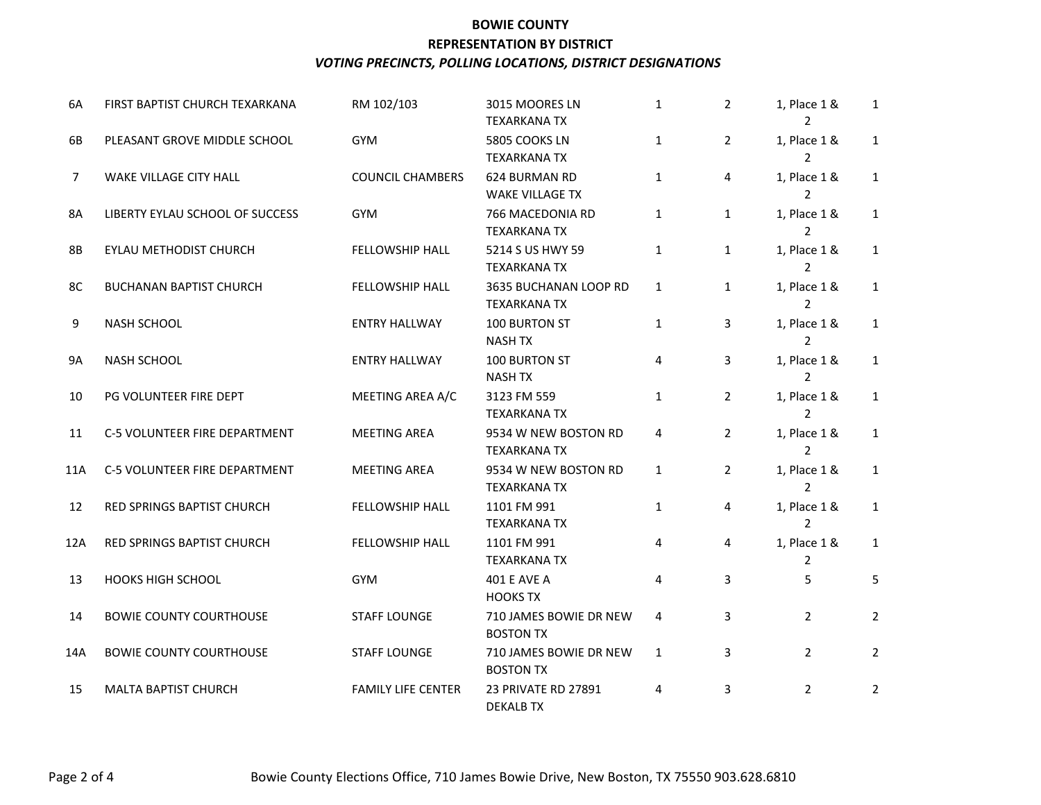| 6A             | FIRST BAPTIST CHURCH TEXARKANA  | RM 102/103                | 3015 MOORES LN<br><b>TEXARKANA TX</b>        | $\mathbf{1}$ | $\overline{2}$ | 1, Place 1 &<br>$\mathcal{P}$  | $\mathbf{1}$   |
|----------------|---------------------------------|---------------------------|----------------------------------------------|--------------|----------------|--------------------------------|----------------|
| 6B             | PLEASANT GROVE MIDDLE SCHOOL    | <b>GYM</b>                | 5805 COOKS LN<br><b>TEXARKANA TX</b>         | $\mathbf{1}$ | $\overline{2}$ | 1, Place 1 &<br>$\overline{2}$ | $\mathbf{1}$   |
| $\overline{7}$ | WAKE VILLAGE CITY HALL          | <b>COUNCIL CHAMBERS</b>   | 624 BURMAN RD<br><b>WAKE VILLAGE TX</b>      | $\mathbf{1}$ | 4              | 1, Place 1 &<br>2              | $\mathbf{1}$   |
| 8A             | LIBERTY EYLAU SCHOOL OF SUCCESS | GYM                       | 766 MACEDONIA RD<br><b>TEXARKANA TX</b>      | $\mathbf{1}$ | $\mathbf{1}$   | 1, Place 1 &<br>$\overline{2}$ | $\mathbf{1}$   |
| 8B             | EYLAU METHODIST CHURCH          | FELLOWSHIP HALL           | 5214 S US HWY 59<br><b>TEXARKANA TX</b>      | $\mathbf{1}$ | $\mathbf{1}$   | 1, Place 1 &<br>$\mathcal{P}$  | $\mathbf{1}$   |
| 8C             | <b>BUCHANAN BAPTIST CHURCH</b>  | FELLOWSHIP HALL           | 3635 BUCHANAN LOOP RD<br><b>TEXARKANA TX</b> | $\mathbf{1}$ | $\mathbf{1}$   | 1, Place 1 &<br>$\mathfrak{p}$ | $\mathbf{1}$   |
| 9              | NASH SCHOOL                     | <b>ENTRY HALLWAY</b>      | 100 BURTON ST<br><b>NASH TX</b>              | $\mathbf{1}$ | 3              | 1, Place 1 &<br>2              | $\mathbf{1}$   |
| <b>9A</b>      | <b>NASH SCHOOL</b>              | <b>ENTRY HALLWAY</b>      | 100 BURTON ST<br><b>NASH TX</b>              | 4            | 3              | 1, Place 1 &<br>2              | $\mathbf{1}$   |
| 10             | PG VOLUNTEER FIRE DEPT          | MEETING AREA A/C          | 3123 FM 559<br><b>TEXARKANA TX</b>           | $\mathbf{1}$ | $\overline{2}$ | 1, Place 1 &<br>$\overline{2}$ | $\mathbf{1}$   |
| 11             | C-5 VOLUNTEER FIRE DEPARTMENT   | <b>MEETING AREA</b>       | 9534 W NEW BOSTON RD<br><b>TEXARKANA TX</b>  | 4            | $\overline{2}$ | 1, Place 1 &<br>$\mathcal{P}$  | $\mathbf{1}$   |
| 11A            | C-5 VOLUNTEER FIRE DEPARTMENT   | <b>MEETING AREA</b>       | 9534 W NEW BOSTON RD<br><b>TEXARKANA TX</b>  | $\mathbf{1}$ | $\overline{2}$ | 1, Place 1 &<br>$\overline{2}$ | $\mathbf{1}$   |
| 12             | RED SPRINGS BAPTIST CHURCH      | FELLOWSHIP HALL           | 1101 FM 991<br><b>TEXARKANA TX</b>           | $\mathbf{1}$ | 4              | 1, Place 1 &<br>2              | $\mathbf{1}$   |
| 12A            | RED SPRINGS BAPTIST CHURCH      | FELLOWSHIP HALL           | 1101 FM 991<br><b>TEXARKANA TX</b>           | 4            | 4              | 1, Place 1 &<br>$\overline{2}$ | $\mathbf{1}$   |
| 13             | <b>HOOKS HIGH SCHOOL</b>        | <b>GYM</b>                | 401 E AVE A<br><b>HOOKS TX</b>               | 4            | 3              | 5                              | 5              |
| 14             | <b>BOWIE COUNTY COURTHOUSE</b>  | <b>STAFF LOUNGE</b>       | 710 JAMES BOWIE DR NEW<br><b>BOSTON TX</b>   | 4            | 3              | $\overline{2}$                 | $\overline{2}$ |
| 14A            | <b>BOWIE COUNTY COURTHOUSE</b>  | <b>STAFF LOUNGE</b>       | 710 JAMES BOWIE DR NEW<br><b>BOSTON TX</b>   | $\mathbf{1}$ | 3              | $\overline{2}$                 | $\overline{2}$ |
| 15             | <b>MALTA BAPTIST CHURCH</b>     | <b>FAMILY LIFE CENTER</b> | 23 PRIVATE RD 27891<br><b>DEKALB TX</b>      | 4            | 3              | $\overline{2}$                 | $\overline{2}$ |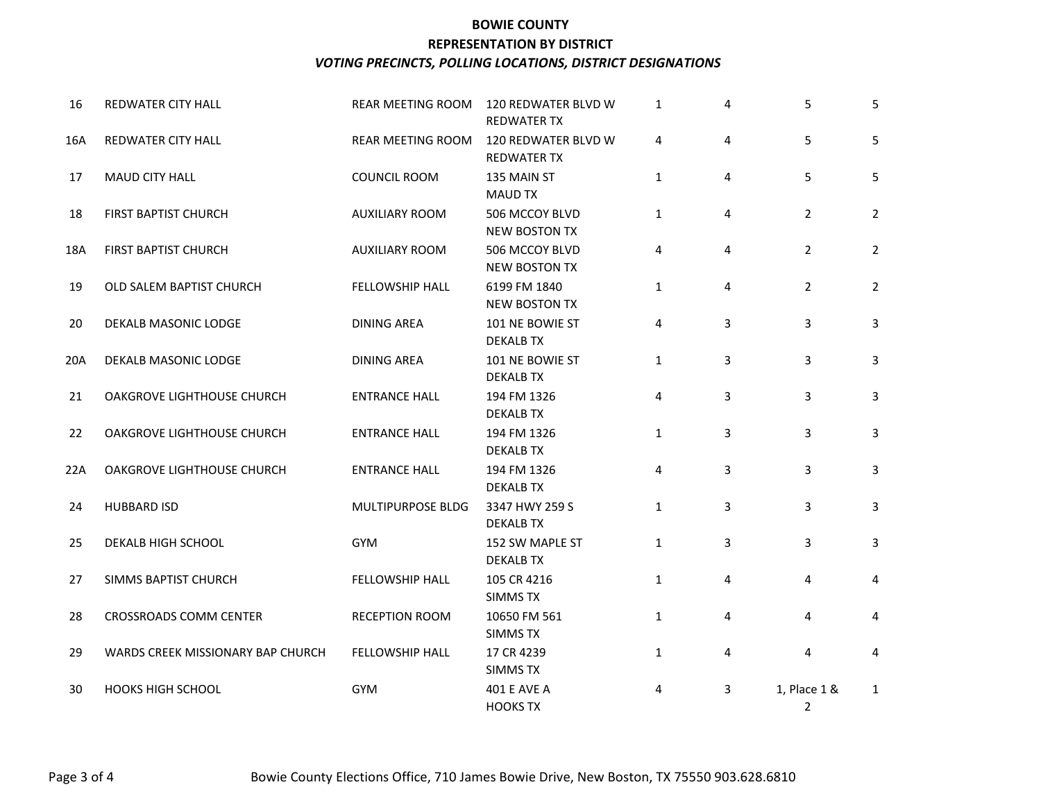| 16  | REDWATER CITY HALL                | REAR MEETING ROOM      | 120 REDWATER BLVD W<br><b>REDWATER TX</b> | $\mathbf{1}$ | 4              | 5                              | 5              |
|-----|-----------------------------------|------------------------|-------------------------------------------|--------------|----------------|--------------------------------|----------------|
| 16A | REDWATER CITY HALL                | REAR MEETING ROOM      | 120 REDWATER BLVD W<br><b>REDWATER TX</b> | 4            | 4              | 5                              | 5              |
| 17  | <b>MAUD CITY HALL</b>             | COUNCIL ROOM           | 135 MAIN ST<br><b>MAUD TX</b>             | $\mathbf{1}$ | 4              | 5                              | 5              |
| 18  | FIRST BAPTIST CHURCH              | <b>AUXILIARY ROOM</b>  | 506 MCCOY BLVD<br>NEW BOSTON TX           | $\mathbf{1}$ | 4              | $\overline{2}$                 | $\overline{2}$ |
| 18A | FIRST BAPTIST CHURCH              | <b>AUXILIARY ROOM</b>  | 506 MCCOY BLVD<br><b>NEW BOSTON TX</b>    | 4            | 4              | $\overline{2}$                 | $\overline{2}$ |
| 19  | OLD SALEM BAPTIST CHURCH          | <b>FELLOWSHIP HALL</b> | 6199 FM 1840<br><b>NEW BOSTON TX</b>      | $\mathbf{1}$ | $\overline{4}$ | $\overline{2}$                 | $\overline{2}$ |
| 20  | DEKALB MASONIC LODGE              | <b>DINING AREA</b>     | 101 NE BOWIE ST<br><b>DEKALB TX</b>       | 4            | 3              | 3                              | 3              |
| 20A | DEKALB MASONIC LODGE              | <b>DINING AREA</b>     | 101 NE BOWIE ST<br><b>DEKALB TX</b>       | $\mathbf{1}$ | 3              | 3                              | 3              |
| 21  | OAKGROVE LIGHTHOUSE CHURCH        | <b>ENTRANCE HALL</b>   | 194 FM 1326<br><b>DEKALB TX</b>           | 4            | 3              | 3                              | 3              |
| 22  | OAKGROVE LIGHTHOUSE CHURCH        | <b>ENTRANCE HALL</b>   | 194 FM 1326<br><b>DEKALB TX</b>           | $\mathbf{1}$ | 3              | 3                              | 3              |
| 22A | OAKGROVE LIGHTHOUSE CHURCH        | <b>ENTRANCE HALL</b>   | 194 FM 1326<br><b>DEKALB TX</b>           | 4            | 3              | 3                              | 3              |
| 24  | <b>HUBBARD ISD</b>                | MULTIPURPOSE BLDG      | 3347 HWY 259 S<br><b>DEKALB TX</b>        | $\mathbf{1}$ | 3              | 3                              | 3              |
| 25  | DEKALB HIGH SCHOOL                | <b>GYM</b>             | 152 SW MAPLE ST<br><b>DEKALB TX</b>       | $\mathbf{1}$ | 3              | 3                              | 3              |
| 27  | SIMMS BAPTIST CHURCH              | FELLOWSHIP HALL        | 105 CR 4216<br><b>SIMMS TX</b>            | $\mathbf{1}$ | $\overline{4}$ | 4                              | 4              |
| 28  | <b>CROSSROADS COMM CENTER</b>     | RECEPTION ROOM         | 10650 FM 561<br><b>SIMMS TX</b>           | $\mathbf{1}$ | 4              | 4                              | 4              |
| 29  | WARDS CREEK MISSIONARY BAP CHURCH | <b>FELLOWSHIP HALL</b> | 17 CR 4239<br><b>SIMMS TX</b>             | $\mathbf{1}$ | 4              | 4                              | 4              |
| 30  | <b>HOOKS HIGH SCHOOL</b>          | <b>GYM</b>             | 401 E AVE A<br><b>HOOKS TX</b>            | 4            | 3              | 1, Place 1 &<br>$\overline{2}$ | $\mathbf{1}$   |